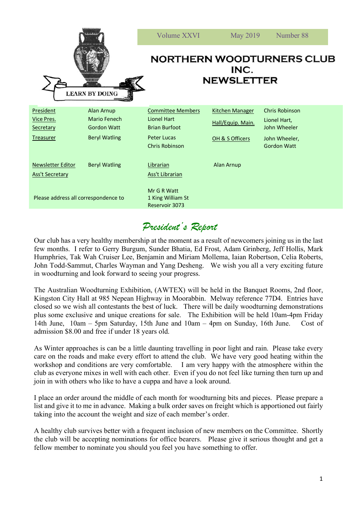| 818351<br><b>LEARN BY DOING</b>                          |                                                                                 | Volume XXVI                                                                                                    | May 2019                                                       | Number 88                                                                             |
|----------------------------------------------------------|---------------------------------------------------------------------------------|----------------------------------------------------------------------------------------------------------------|----------------------------------------------------------------|---------------------------------------------------------------------------------------|
|                                                          |                                                                                 | <b>NORTHERN WOODTURNERS CLUB</b><br>INC.<br><b>NEWSLETTER</b>                                                  |                                                                |                                                                                       |
| President<br>Vice Pres.<br>Secretary<br><b>Treasurer</b> | <b>Alan Arnup</b><br>Mario Fenech<br><b>Gordon Watt</b><br><b>Beryl Watling</b> | <b>Committee Members</b><br>Lionel Hart<br><b>Brian Burfoot</b><br><b>Peter Lucas</b><br><b>Chris Robinson</b> | <b>Kitchen Manager</b><br>Hall/Equip. Main.<br>OH & S Officers | Chris Robinson<br>Lionel Hart,<br>John Wheeler<br>John Wheeler,<br><b>Gordon Watt</b> |
| <b>Newsletter Editor</b><br><b>Ass't Secretary</b>       | <b>Beryl Watling</b>                                                            | Librarian<br><b>Ass't Librarian</b>                                                                            | Alan Arnup                                                     |                                                                                       |
| Please address all correspondence to                     |                                                                                 | Mr G R Watt<br>1 King William St<br>Reservoir 3073                                                             |                                                                |                                                                                       |

### *President's Report*

Our club has a very healthy membership at the moment as a result of newcomers joining us in the last few months. I refer to Gerry Burgum, Sunder Bhatia, Ed Frost, Adam Grinberg, Jeff Hollis, Mark Humphries, Tak Wah Cruiser Lee, Benjamin and Miriam Mollema, Iaian Robertson, Celia Roberts, John Todd-Sammut, Charles Wayman and Yang Desheng. We wish you all a very exciting future in woodturning and look forward to seeing your progress.

The Australian Woodturning Exhibition, (AWTEX) will be held in the Banquet Rooms, 2nd floor, Kingston City Hall at 985 Nepean Highway in Moorabbin. Melway reference 77D4. Entries have closed so we wish all contestants the best of luck. There will be daily woodturning demonstrations plus some exclusive and unique creations for sale. The Exhibition will be held 10am-4pm Friday 14th June, 10am – 5pm Saturday, 15th June and 10am – 4pm on Sunday, 16th June. Cost of admission \$8.00 and free if under 18 years old.

As Winter approaches is can be a little daunting travelling in poor light and rain. Please take every care on the roads and make every effort to attend the club. We have very good heating within the workshop and conditions are very comfortable. I am very happy with the atmosphere within the club as everyone mixes in well with each other. Even if you do not feel like turning then turn up and join in with others who like to have a cuppa and have a look around.

I place an order around the middle of each month for woodturning bits and pieces. Please prepare a list and give it to me in advance. Making a bulk order saves on freight which is apportioned out fairly taking into the account the weight and size of each member's order.

A healthy club survives better with a frequent inclusion of new members on the Committee. Shortly the club will be accepting nominations for office bearers. Please give it serious thought and get a fellow member to nominate you should you feel you have something to offer.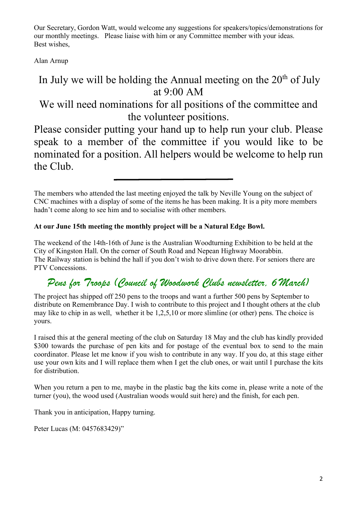Our Secretary, Gordon Watt, would welcome any suggestions for speakers/topics/demonstrations for our monthly meetings. Please liaise with him or any Committee member with your ideas. Best wishes,

Alan Arnup

## In July we will be holding the Annual meeting on the  $20<sup>th</sup>$  of July at 9:00 AM

We will need nominations for all positions of the committee and the volunteer positions.

Please consider putting your hand up to help run your club. Please speak to a member of the committee if you would like to be nominated for a position. All helpers would be welcome to help run the Club.

The members who attended the last meeting enjoyed the talk by Neville Young on the subject of CNC machines with a display of some of the items he has been making. It is a pity more members hadn't come along to see him and to socialise with other members.

#### **At our June 15th meeting the monthly project will be a Natural Edge Bowl.**

The weekend of the 14th-16th of June is the Australian Woodturning Exhibition to be held at the City of Kingston Hall. On the corner of South Road and Nepean Highway Moorabbin. The Railway station is behind the hall if you don't wish to drive down there. For seniors there are PTV Concessions.

## *Pens for Troops (Council of Woodwork Clubs newsletter, 6 March)*

The project has shipped off 250 pens to the troops and want a further 500 pens by September to distribute on Remembrance Day. I wish to contribute to this project and I thought others at the club may like to chip in as well, whether it be 1,2,5,10 or more slimline (or other) pens. The choice is yours.

I raised this at the general meeting of the club on Saturday 18 May and the club has kindly provided \$300 towards the purchase of pen kits and for postage of the eventual box to send to the main coordinator. Please let me know if you wish to contribute in any way. If you do, at this stage either use your own kits and I will replace them when I get the club ones, or wait until I purchase the kits for distribution.

When you return a pen to me, maybe in the plastic bag the kits come in, please write a note of the turner (you), the wood used (Australian woods would suit here) and the finish, for each pen.

Thank you in anticipation, Happy turning.

Peter Lucas (M: 0457683429)"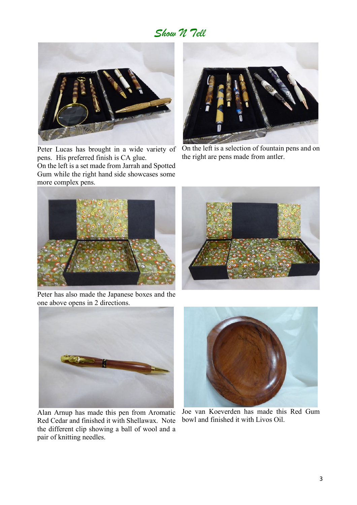#### *Show N Tell*



Peter Lucas has brought in a wide variety of pens. His preferred finish is CA glue.

On the left is a set made from Jarrah and Spotted Gum while the right hand side showcases some more complex pens.



On the left is a selection of fountain pens and on the right are pens made from antler.



Peter has also made the Japanese boxes and the one above opens in 2 directions.





Alan Arnup has made this pen from Aromatic Red Cedar and finished it with Shellawax. Note the different clip showing a ball of wool and a pair of knitting needles.



Joe van Koeverden has made this Red Gum bowl and finished it with Livos Oil.